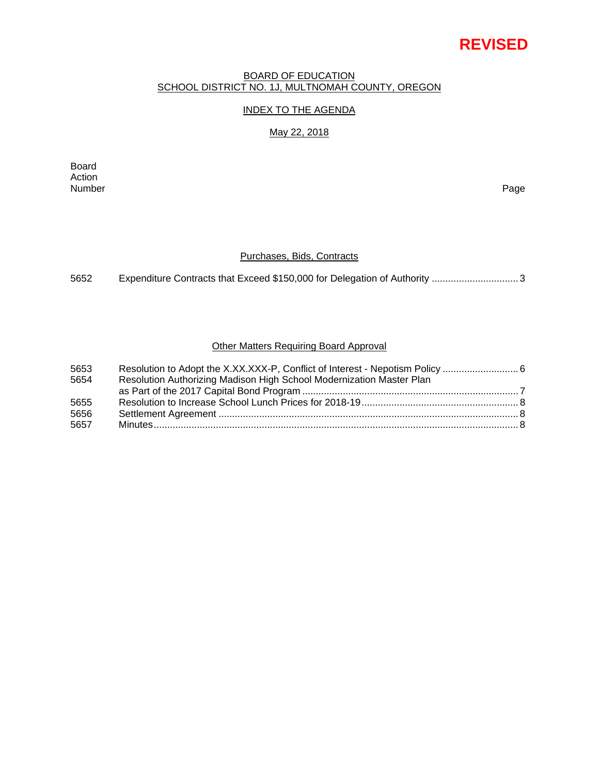# **REVISED**

#### BOARD OF EDUCATION SCHOOL DISTRICT NO. 1J, MULTNOMAH COUNTY, OREGON

# INDEX TO THE AGENDA

#### May 22, 2018

Board Action Number Page

### Purchases, Bids, Contracts

5652 Expenditure Contracts that Exceed \$150,000 for Delegation of Authority ................................ 3

# Other Matters Requiring Board Approval

| 5653 |                                                                      |  |
|------|----------------------------------------------------------------------|--|
| 5654 | Resolution Authorizing Madison High School Modernization Master Plan |  |
|      |                                                                      |  |
| 5655 |                                                                      |  |
| 5656 |                                                                      |  |
| 5657 |                                                                      |  |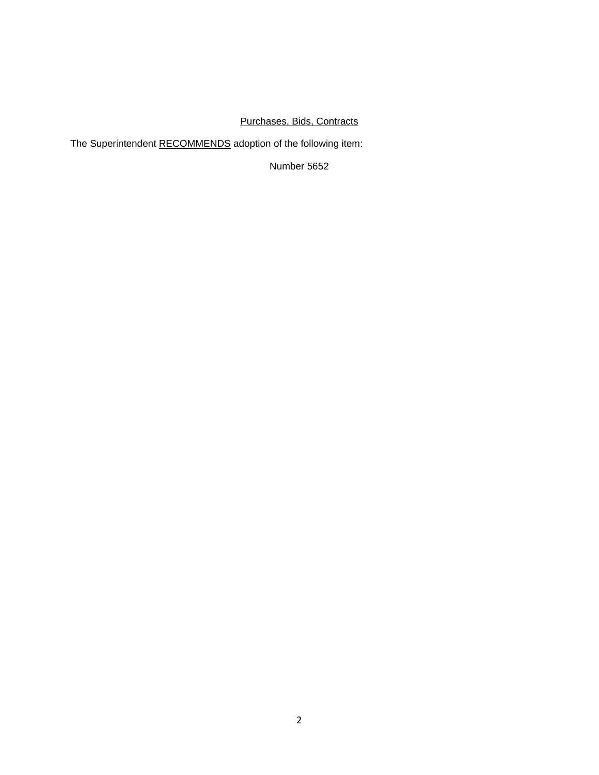# Purchases, Bids, Contracts

The Superintendent RECOMMENDS adoption of the following item:

Number 5652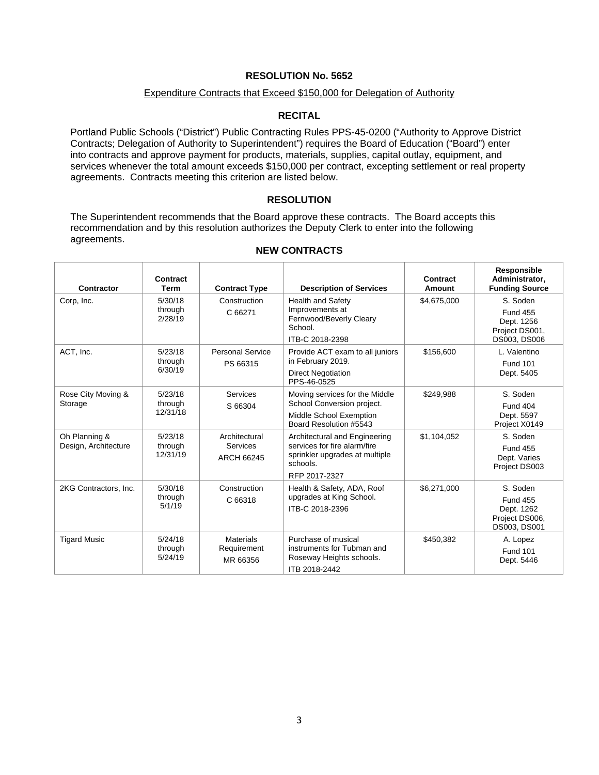#### Expenditure Contracts that Exceed \$150,000 for Delegation of Authority

# **RECITAL**

Portland Public Schools ("District") Public Contracting Rules PPS-45-0200 ("Authority to Approve District Contracts; Delegation of Authority to Superintendent") requires the Board of Education ("Board") enter into contracts and approve payment for products, materials, supplies, capital outlay, equipment, and services whenever the total amount exceeds \$150,000 per contract, excepting settlement or real property agreements. Contracts meeting this criterion are listed below.

# **RESOLUTION**

The Superintendent recommends that the Board approve these contracts. The Board accepts this recommendation and by this resolution authorizes the Deputy Clerk to enter into the following agreements.

 $\overline{1}$ 

| Contractor                            | Contract<br>Term               | <b>Contract Type</b>                                  | <b>Description of Services</b>                                                                                               | Contract<br><b>Amount</b> | Responsible<br>Administrator,<br><b>Funding Source</b>                      |
|---------------------------------------|--------------------------------|-------------------------------------------------------|------------------------------------------------------------------------------------------------------------------------------|---------------------------|-----------------------------------------------------------------------------|
| Corp, Inc.                            | 5/30/18<br>through<br>2/28/19  | Construction<br>C 66271                               | <b>Health and Safety</b><br>Improvements at<br>Fernwood/Beverly Cleary<br>School.                                            | \$4,675,000               | S. Soden<br><b>Fund 455</b><br>Dept. 1256<br>Project DS001,                 |
| ACT, Inc.                             | 5/23/18<br>through<br>6/30/19  | <b>Personal Service</b><br>PS 66315                   | ITB-C 2018-2398<br>Provide ACT exam to all juniors<br>in February 2019.<br><b>Direct Negotiation</b><br>PPS-46-0525          | \$156,600                 | DS003, DS006<br>L. Valentino<br><b>Fund 101</b><br>Dept. 5405               |
| Rose City Moving &<br>Storage         | 5/23/18<br>through<br>12/31/18 | <b>Services</b><br>S 66304                            | Moving services for the Middle<br>School Conversion project.<br>Middle School Exemption<br>Board Resolution #5543            | \$249.988                 | S. Soden<br><b>Fund 404</b><br>Dept. 5597<br>Project X0149                  |
| Oh Planning &<br>Design, Architecture | 5/23/18<br>through<br>12/31/19 | Architectural<br><b>Services</b><br><b>ARCH 66245</b> | Architectural and Engineering<br>services for fire alarm/fire<br>sprinkler upgrades at multiple<br>schools.<br>RFP 2017-2327 | \$1,104,052               | S. Soden<br><b>Fund 455</b><br>Dept. Varies<br>Project DS003                |
| 2KG Contractors, Inc.                 | 5/30/18<br>through<br>5/1/19   | Construction<br>C 66318                               | Health & Safety, ADA, Roof<br>upgrades at King School.<br>ITB-C 2018-2396                                                    | \$6,271,000               | S. Soden<br><b>Fund 455</b><br>Dept. 1262<br>Project DS006,<br>DS003, DS001 |
| <b>Tigard Music</b>                   | 5/24/18<br>through<br>5/24/19  | <b>Materials</b><br>Requirement<br>MR 66356           | Purchase of musical<br>instruments for Tubman and<br>Roseway Heights schools.<br>ITB 2018-2442                               | \$450,382                 | A. Lopez<br><b>Fund 101</b><br>Dept. 5446                                   |

#### **NEW CONTRACTS**

 $\overline{1}$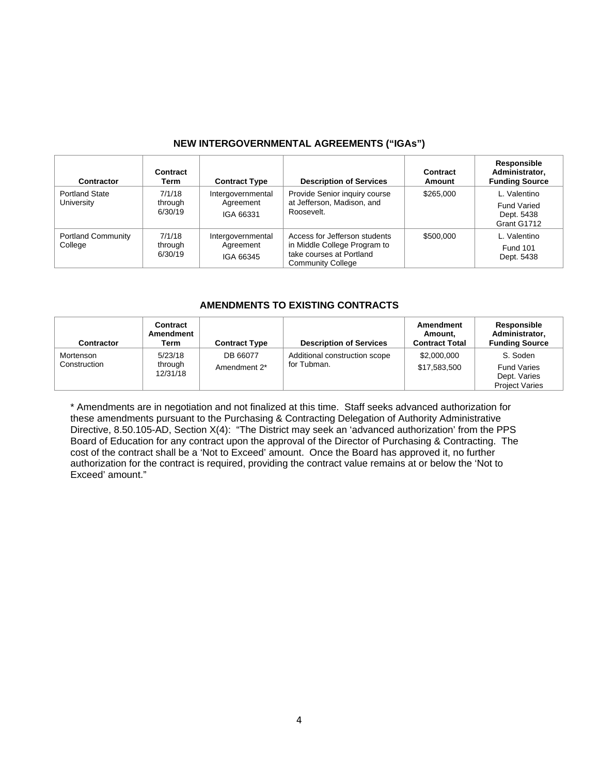# **NEW INTERGOVERNMENTAL AGREEMENTS ("IGAs")**

| Contractor                           | Contract<br>Term             | <b>Contract Type</b>                        | <b>Description of Services</b>                                                                                        | Contract<br>Amount | <b>Responsible</b><br>Administrator,<br><b>Funding Source</b>   |
|--------------------------------------|------------------------------|---------------------------------------------|-----------------------------------------------------------------------------------------------------------------------|--------------------|-----------------------------------------------------------------|
| <b>Portland State</b><br>University  | 7/1/18<br>through<br>6/30/19 | Intergovernmental<br>Agreement<br>IGA 66331 | Provide Senior inquiry course<br>at Jefferson, Madison, and<br>Roosevelt.                                             | \$265,000          | L. Valentino<br><b>Fund Varied</b><br>Dept. 5438<br>Grant G1712 |
| <b>Portland Community</b><br>College | 7/1/18<br>through<br>6/30/19 | Intergovernmental<br>Agreement<br>IGA 66345 | Access for Jefferson students<br>in Middle College Program to<br>take courses at Portland<br><b>Community College</b> | \$500,000          | L. Valentino<br><b>Fund 101</b><br>Dept. 5438                   |

#### **AMENDMENTS TO EXISTING CONTRACTS**

| <b>Contractor</b>         | Contract<br>Amendment<br>Term  | <b>Contract Type</b>     | <b>Description of Services</b>               | Amendment<br>Amount.<br><b>Contract Total</b> | Responsible<br>Administrator,<br><b>Funding Source</b>                  |
|---------------------------|--------------------------------|--------------------------|----------------------------------------------|-----------------------------------------------|-------------------------------------------------------------------------|
| Mortenson<br>Construction | 5/23/18<br>through<br>12/31/18 | DB 66077<br>Amendment 2* | Additional construction scope<br>for Tubman. | \$2,000,000<br>\$17,583,500                   | S. Soden<br><b>Fund Varies</b><br>Dept. Varies<br><b>Project Varies</b> |

\* Amendments are in negotiation and not finalized at this time. Staff seeks advanced authorization for these amendments pursuant to the Purchasing & Contracting Delegation of Authority Administrative Directive, 8.50.105-AD, Section X(4): "The District may seek an 'advanced authorization' from the PPS Board of Education for any contract upon the approval of the Director of Purchasing & Contracting. The cost of the contract shall be a 'Not to Exceed' amount. Once the Board has approved it, no further authorization for the contract is required, providing the contract value remains at or below the 'Not to Exceed' amount."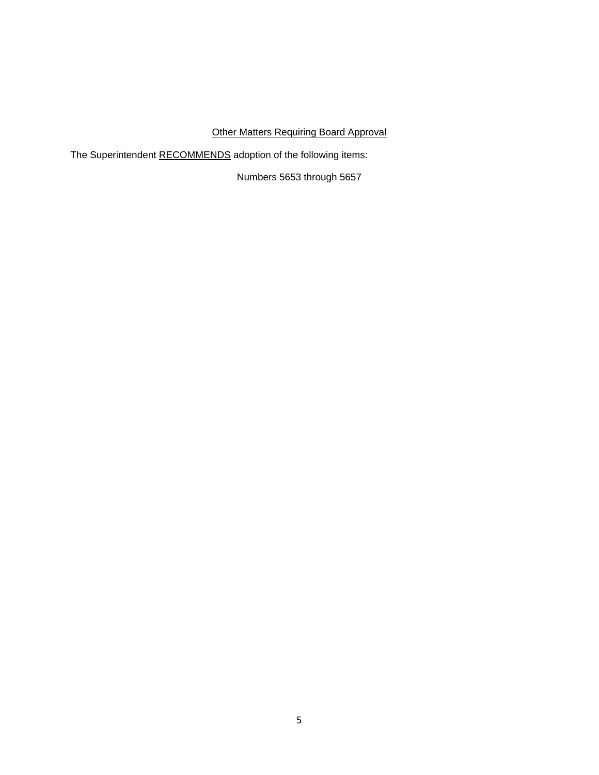# Other Matters Requiring Board Approval

The Superintendent RECOMMENDS adoption of the following items:

Numbers 5653 through 5657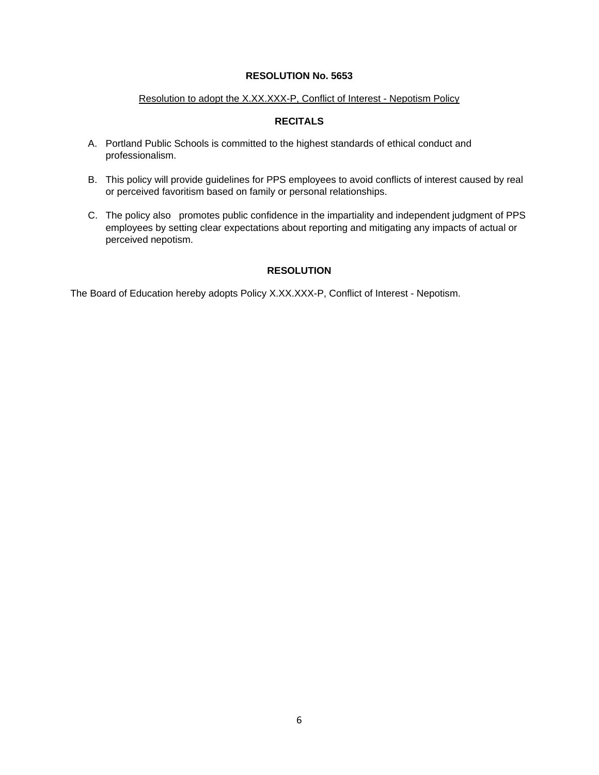#### Resolution to adopt the X.XX.XXX-P, Conflict of Interest - Nepotism Policy

# **RECITALS**

- A. Portland Public Schools is committed to the highest standards of ethical conduct and professionalism.
- B. This policy will provide guidelines for PPS employees to avoid conflicts of interest caused by real or perceived favoritism based on family or personal relationships.
- C. The policy also promotes public confidence in the impartiality and independent judgment of PPS employees by setting clear expectations about reporting and mitigating any impacts of actual or perceived nepotism.

# **RESOLUTION**

The Board of Education hereby adopts Policy X.XX.XXX-P, Conflict of Interest - Nepotism.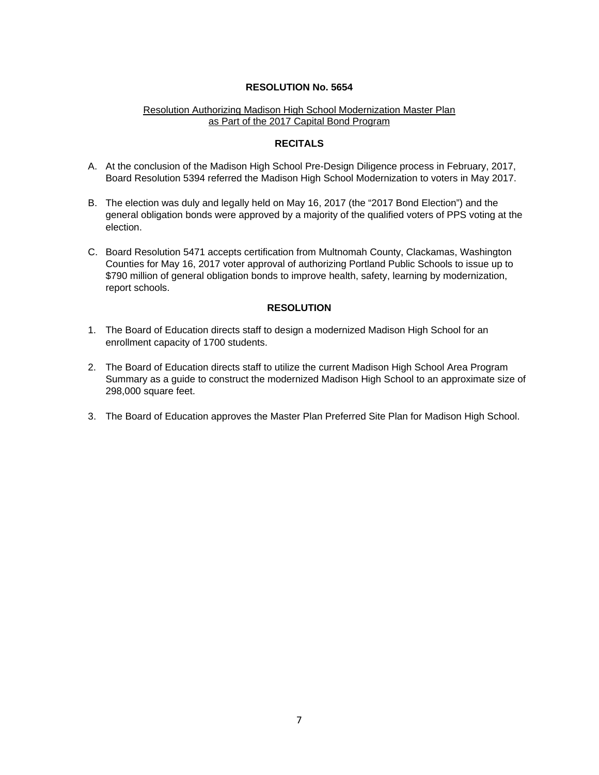### Resolution Authorizing Madison High School Modernization Master Plan as Part of the 2017 Capital Bond Program

#### **RECITALS**

- A. At the conclusion of the Madison High School Pre-Design Diligence process in February, 2017, Board Resolution 5394 referred the Madison High School Modernization to voters in May 2017.
- B. The election was duly and legally held on May 16, 2017 (the "2017 Bond Election") and the general obligation bonds were approved by a majority of the qualified voters of PPS voting at the election.
- C. Board Resolution 5471 accepts certification from Multnomah County, Clackamas, Washington Counties for May 16, 2017 voter approval of authorizing Portland Public Schools to issue up to \$790 million of general obligation bonds to improve health, safety, learning by modernization, report schools.

# **RESOLUTION**

- 1. The Board of Education directs staff to design a modernized Madison High School for an enrollment capacity of 1700 students.
- 2. The Board of Education directs staff to utilize the current Madison High School Area Program Summary as a guide to construct the modernized Madison High School to an approximate size of 298,000 square feet.
- 3. The Board of Education approves the Master Plan Preferred Site Plan for Madison High School.